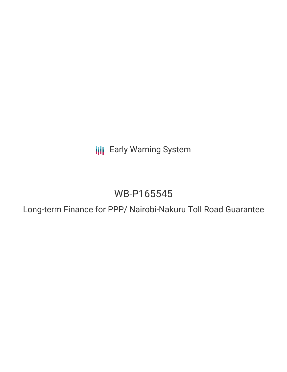**III** Early Warning System

# WB-P165545

Long-term Finance for PPP/ Nairobi-Nakuru Toll Road Guarantee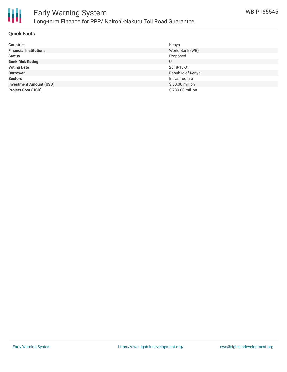

#### **Quick Facts**

| <b>Countries</b>               | Kenya             |
|--------------------------------|-------------------|
| <b>Financial Institutions</b>  | World Bank (WB)   |
| <b>Status</b>                  | Proposed          |
| <b>Bank Risk Rating</b>        | U                 |
| <b>Voting Date</b>             | 2018-10-31        |
| <b>Borrower</b>                | Republic of Kenya |
| <b>Sectors</b>                 | Infrastructure    |
| <b>Investment Amount (USD)</b> | \$80.00 million   |
| <b>Project Cost (USD)</b>      | \$780.00 million  |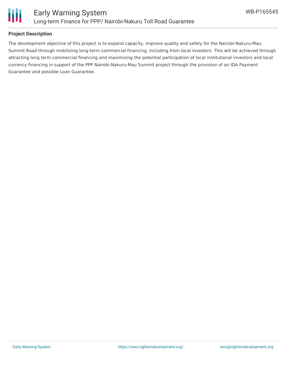

## **Project Description**

The development objective of this project is to expand capacity, improve quality and safety for the Nairobi-Nakuru-Mau Summit Road through mobilizing long-term commercial financing, including from local investors. This will be achieved through attracting long term commercial financing and maximizing the potential participation of local institutional investors and local currency financing in support of the PPP Nairobi-Nakuru-Mau Summit project through the provision of an IDA Payment Guarantee and possible Loan Guarantee.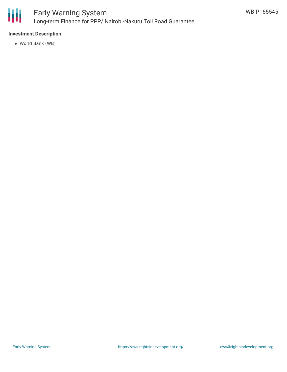

# Early Warning System Long-term Finance for PPP/ Nairobi-Nakuru Toll Road Guarantee

## **Investment Description**

World Bank (WB)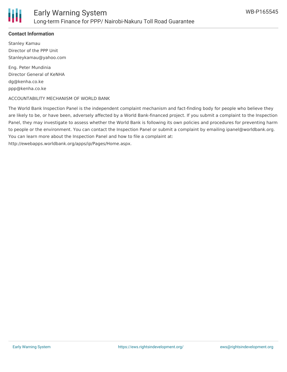

#### **Contact Information**

Stanley Kamau Director of the PPP Unit Stanleykamau@yahoo.com

Eng. Peter Mundinia Director General of KeNHA dg@kenha.co.ke ppp@kenha.co.ke

#### ACCOUNTABILITY MECHANISM OF WORLD BANK

The World Bank Inspection Panel is the independent complaint mechanism and fact-finding body for people who believe they are likely to be, or have been, adversely affected by a World Bank-financed project. If you submit a complaint to the Inspection Panel, they may investigate to assess whether the World Bank is following its own policies and procedures for preventing harm to people or the environment. You can contact the Inspection Panel or submit a complaint by emailing ipanel@worldbank.org. You can learn more about the Inspection Panel and how to file a complaint at: http://ewebapps.worldbank.org/apps/ip/Pages/Home.aspx.